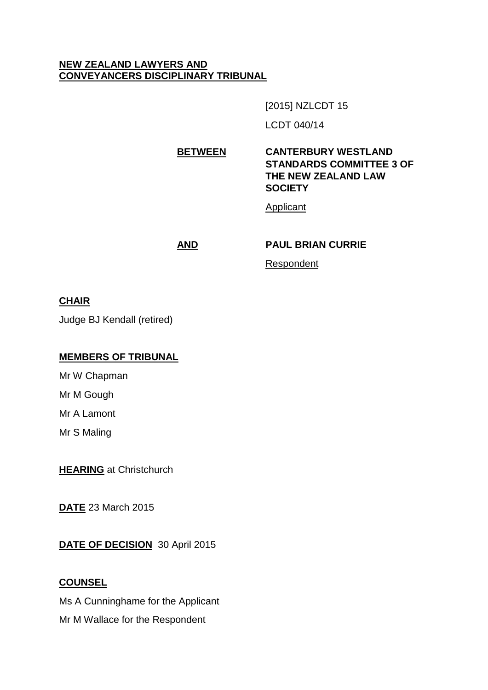## **NEW ZEALAND LAWYERS AND CONVEYANCERS DISCIPLINARY TRIBUNAL**

[2015] NZLCDT 15

LCDT 040/14

**BETWEEN CANTERBURY WESTLAND STANDARDS COMMITTEE 3 OF THE NEW ZEALAND LAW SOCIETY**

Applicant

#### **AND PAUL BRIAN CURRIE**

Respondent

### **CHAIR**

Judge BJ Kendall (retired)

### **MEMBERS OF TRIBUNAL**

Mr W Chapman

Mr M Gough

Mr A Lamont

Mr S Maling

**HEARING** at Christchurch

**DATE** 23 March 2015

**DATE OF DECISION** 30 April 2015

### **COUNSEL**

Ms A Cunninghame for the Applicant

Mr M Wallace for the Respondent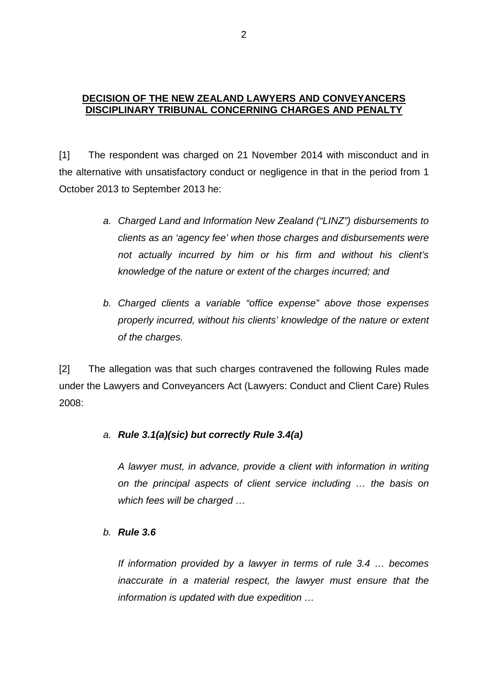### **DECISION OF THE NEW ZEALAND LAWYERS AND CONVEYANCERS DISCIPLINARY TRIBUNAL CONCERNING CHARGES AND PENALTY**

[1] The respondent was charged on 21 November 2014 with misconduct and in the alternative with unsatisfactory conduct or negligence in that in the period from 1 October 2013 to September 2013 he:

- *a. Charged Land and Information New Zealand ("LINZ") disbursements to clients as an 'agency fee' when those charges and disbursements were not actually incurred by him or his firm and without his client's knowledge of the nature or extent of the charges incurred; and*
- *b. Charged clients a variable "office expense" above those expenses properly incurred, without his clients' knowledge of the nature or extent of the charges.*

[2] The allegation was that such charges contravened the following Rules made under the Lawyers and Conveyancers Act (Lawyers: Conduct and Client Care) Rules 2008:

# *a. Rule 3.1(a)(sic) but correctly Rule 3.4(a)*

*A lawyer must, in advance, provide a client with information in writing on the principal aspects of client service including … the basis on which fees will be charged …*

#### *b. Rule 3.6*

*If information provided by a lawyer in terms of rule 3.4 … becomes inaccurate in a material respect, the lawyer must ensure that the information is updated with due expedition …*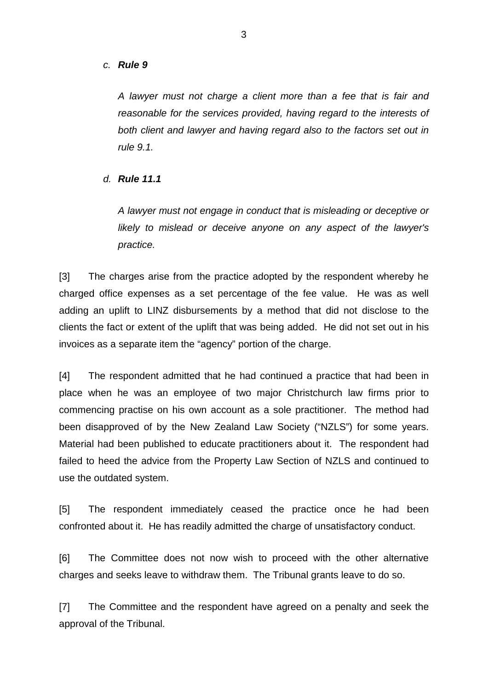#### *c. Rule 9*

*A lawyer must not charge a client more than a fee that is fair and reasonable for the services provided, having regard to the interests of both client and lawyer and having regard also to the factors set out in rule 9.1.*

*d. Rule 11.1*

*A lawyer must not engage in conduct that is misleading or deceptive or likely to mislead or deceive anyone on any aspect of the lawyer's practice.*

[3] The charges arise from the practice adopted by the respondent whereby he charged office expenses as a set percentage of the fee value. He was as well adding an uplift to LINZ disbursements by a method that did not disclose to the clients the fact or extent of the uplift that was being added. He did not set out in his invoices as a separate item the "agency" portion of the charge.

[4] The respondent admitted that he had continued a practice that had been in place when he was an employee of two major Christchurch law firms prior to commencing practise on his own account as a sole practitioner. The method had been disapproved of by the New Zealand Law Society ("NZLS") for some years. Material had been published to educate practitioners about it. The respondent had failed to heed the advice from the Property Law Section of NZLS and continued to use the outdated system.

[5] The respondent immediately ceased the practice once he had been confronted about it. He has readily admitted the charge of unsatisfactory conduct.

[6] The Committee does not now wish to proceed with the other alternative charges and seeks leave to withdraw them. The Tribunal grants leave to do so.

[7] The Committee and the respondent have agreed on a penalty and seek the approval of the Tribunal.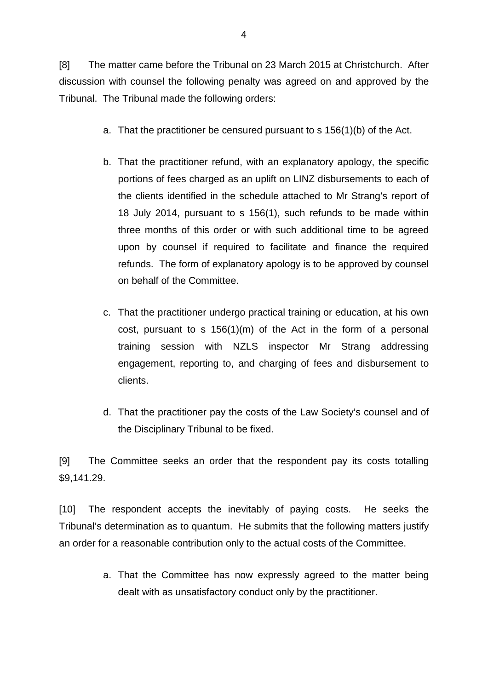[8] The matter came before the Tribunal on 23 March 2015 at Christchurch. After discussion with counsel the following penalty was agreed on and approved by the Tribunal. The Tribunal made the following orders:

- a. That the practitioner be censured pursuant to s 156(1)(b) of the Act.
- b. That the practitioner refund, with an explanatory apology, the specific portions of fees charged as an uplift on LINZ disbursements to each of the clients identified in the schedule attached to Mr Strang's report of 18 July 2014, pursuant to s 156(1), such refunds to be made within three months of this order or with such additional time to be agreed upon by counsel if required to facilitate and finance the required refunds. The form of explanatory apology is to be approved by counsel on behalf of the Committee.
- c. That the practitioner undergo practical training or education, at his own cost, pursuant to s 156(1)(m) of the Act in the form of a personal training session with NZLS inspector Mr Strang addressing engagement, reporting to, and charging of fees and disbursement to clients.
- d. That the practitioner pay the costs of the Law Society's counsel and of the Disciplinary Tribunal to be fixed.

[9] The Committee seeks an order that the respondent pay its costs totalling \$9,141.29.

[10] The respondent accepts the inevitably of paying costs. He seeks the Tribunal's determination as to quantum. He submits that the following matters justify an order for a reasonable contribution only to the actual costs of the Committee.

> a. That the Committee has now expressly agreed to the matter being dealt with as unsatisfactory conduct only by the practitioner.